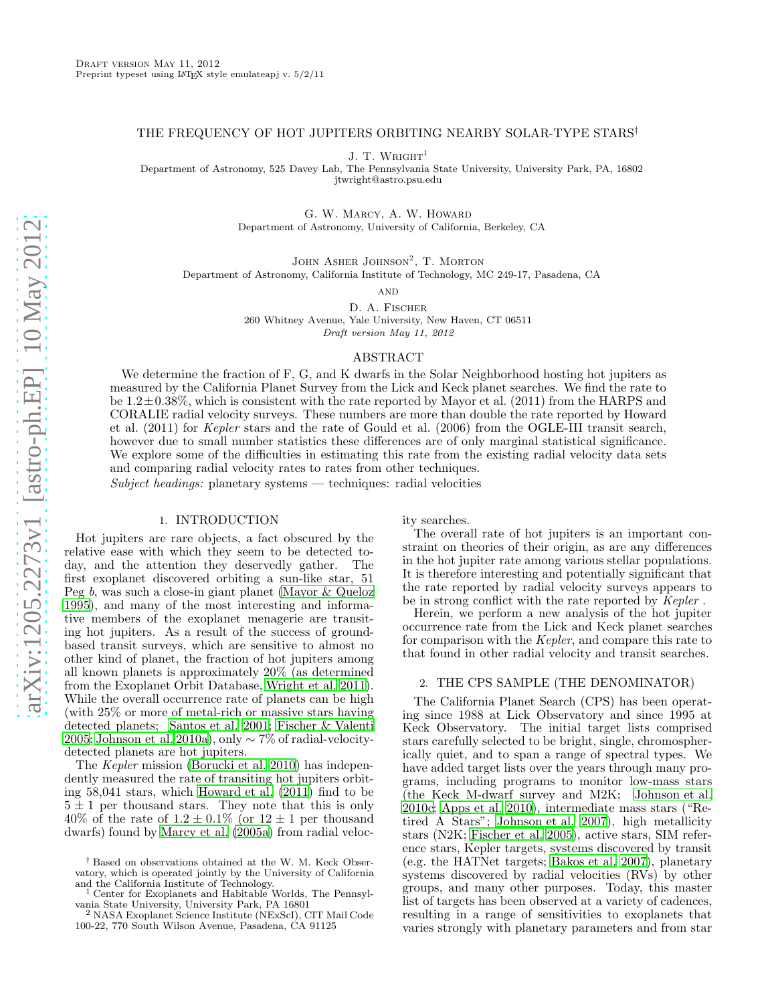# THE FREQUENCY OF HOT JUPITERS ORBITING NEARBY SOLAR-TYPE STARS†

J. T. WRIGHT<sup>1</sup>

Department of Astronomy, 525 Davey Lab, The Pennsylvania State University, University Park, PA, 16802 jtwright@astro.psu.edu

> G. W. Marcy, A. W. Howard Department of Astronomy, University of California, Berkeley, CA

JOHN ASHER JOHNSON<sup>2</sup>, T. MORTON Department of Astronomy, California Institute of Technology, MC 249-17, Pasadena, CA

**AND** 

D. A. Fischer 260 Whitney Avenue, Yale University, New Haven, CT 06511 Draft version May 11, 2012

# ABSTRACT

We determine the fraction of F, G, and K dwarfs in the Solar Neighborhood hosting hot jupiters as measured by the California Planet Survey from the Lick and Keck planet searches. We find the rate to be  $1.2\pm0.38\%$ , which is consistent with the rate reported by Mayor et al. (2011) from the HARPS and CORALIE radial velocity surveys. These numbers are more than double the rate reported by Howard et al. (2011) for Kepler stars and the rate of Gould et al. (2006) from the OGLE-III transit search, however due to small number statistics these differences are of only marginal statistical significance. We explore some of the difficulties in estimating this rate from the existing radial velocity data sets and comparing radial velocity rates to rates from other techniques.

 $Subject\ headings:$  planetary systems — techniques: radial velocities

# 1. INTRODUCTION

Hot jupiters are rare objects, a fact obscured by the relative ease with which they seem to be detected today, and the attention they deservedly gather. The first exoplanet discovered orbiting a sun-like star, 51 Peg b, was such a close-in giant planet [\(Mayor & Queloz](#page-4-0) [1995\)](#page-4-0), and many of the most interesting and informative members of the exoplanet menagerie are transiting hot jupiters. As a result of the success of groundbased transit surveys, which are sensitive to almost no other kind of planet, the fraction of hot jupiters among all known planets is approximately 20% (as determined from the Exoplanet Orbit Database, [Wright et al. 2011\)](#page-4-1). While the overall occurrence rate of planets can be high (with 25% or more of metal-rich or massive stars having detected planets; [Santos et al. 2001;](#page-4-2) [Fischer & Valenti](#page-4-3) [2005;](#page-4-3) [Johnson et al. 2010a\)](#page-4-4), only ∼ 7% of radial-velocitydetected planets are hot jupiters.

The Kepler mission [\(Borucki et al. 2010](#page-4-5)) has independently measured the rate of transiting hot jupiters orbiting 58,041 stars, which [Howard et al. \(2011\)](#page-4-6) find to be  $5 \pm 1$  per thousand stars. They note that this is only 40% of the rate of  $1.2 \pm 0.1\%$  (or  $12 \pm 1$  per thousand dwarfs) found by [Marcy et al. \(2005a\)](#page-4-7) from radial velocity searches.

The overall rate of hot jupiters is an important constraint on theories of their origin, as are any differences in the hot jupiter rate among various stellar populations. It is therefore interesting and potentially significant that the rate reported by radial velocity surveys appears to be in strong conflict with the rate reported by Kepler .

Herein, we perform a new analysis of the hot jupiter occurrence rate from the Lick and Keck planet searches for comparison with the Kepler, and compare this rate to that found in other radial velocity and transit searches.

## <span id="page-0-0"></span>2. THE CPS SAMPLE (THE DENOMINATOR)

The California Planet Search (CPS) has been operating since 1988 at Lick Observatory and since 1995 at Keck Observatory. The initial target lists comprised stars carefully selected to be bright, single, chromospherically quiet, and to span a range of spectral types. We have added target lists over the years through many programs, including programs to monitor low-mass stars (the Keck M-dwarf survey and M2K; [Johnson et al.](#page-4-8) [2010c](#page-4-8); [Apps et al. 2010](#page-4-9)), intermediate mass stars ("Retired A Stars"; [Johnson et al. 2007\)](#page-4-10), high metallicity stars (N2K; [Fischer et al. 2005\)](#page-4-11), active stars, SIM reference stars, Kepler targets, systems discovered by transit (e.g. the HATNet targets; [Bakos et al. 2007](#page-4-12)), planetary systems discovered by radial velocities (RVs) by other groups, and many other purposes. Today, this master list of targets has been observed at a variety of cadences, resulting in a range of sensitivities to exoplanets that varies strongly with planetary parameters and from star

<sup>†</sup> Based on observations obtained at the W. M. Keck Observatory, which is operated jointly by the University of California and the California Institute of Technology. <sup>1</sup> Center for Exoplanets and Habitable Worlds, The Pennsyl-

vania State University, University Park, PA 16801 <sup>2</sup> NASA Exoplanet Science Institute (NExScI), CIT Mail Code

<sup>100-22, 770</sup> South Wilson Avenue, Pasadena, CA 91125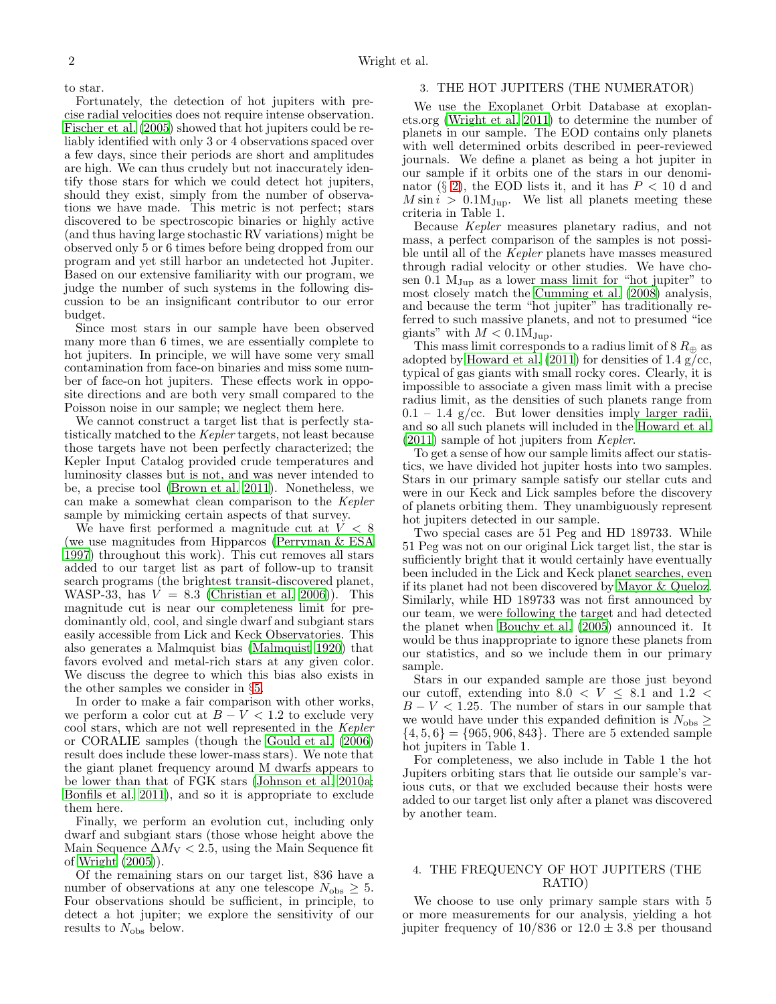to star.

Fortunately, the detection of hot jupiters with precise radial velocities does not require intense observation. [Fischer et al. \(2005\)](#page-4-11) showed that hot jupiters could be reliably identified with only 3 or 4 observations spaced over a few days, since their periods are short and amplitudes are high. We can thus crudely but not inaccurately identify those stars for which we could detect hot jupiters, should they exist, simply from the number of observations we have made. This metric is not perfect; stars discovered to be spectroscopic binaries or highly active (and thus having large stochastic RV variations) might be observed only 5 or 6 times before being dropped from our program and yet still harbor an undetected hot Jupiter. Based on our extensive familiarity with our program, we judge the number of such systems in the following discussion to be an insignificant contributor to our error budget.

Since most stars in our sample have been observed many more than 6 times, we are essentially complete to hot jupiters. In principle, we will have some very small contamination from face-on binaries and miss some number of face-on hot jupiters. These effects work in opposite directions and are both very small compared to the Poisson noise in our sample; we neglect them here.

We cannot construct a target list that is perfectly statistically matched to the Kepler targets, not least because those targets have not been perfectly characterized; the Kepler Input Catalog provided crude temperatures and luminosity classes but is not, and was never intended to be, a precise tool [\(Brown et al. 2011\)](#page-4-13). Nonetheless, we can make a somewhat clean comparison to the Kepler sample by mimicking certain aspects of that survey.

We have first performed a magnitude cut at  $V < 8$ (we use magnitudes from Hipparcos [\(Perryman & ESA](#page-4-14) [1997\)](#page-4-14) throughout this work). This cut removes all stars added to our target list as part of follow-up to transit search programs (the brightest transit-discovered planet, WASP-33, has  $V = 8.3$  [\(Christian et al. 2006\)](#page-4-15)). This magnitude cut is near our completeness limit for predominantly old, cool, and single dwarf and subgiant stars easily accessible from Lick and Keck Observatories. This also generates a Malmquist bias [\(Malmquist 1920\)](#page-4-16) that favors evolved and metal-rich stars at any given color. We discuss the degree to which this bias also exists in the other samples we consider in §[5.](#page-2-0)

In order to make a fair comparison with other works, we perform a color cut at  $B - V < 1.2$  to exclude very cool stars, which are not well represented in the Kepler or CORALIE samples (though the [Gould et al. \(2006](#page-4-17)) result does include these lower-mass stars). We note that the giant planet frequency around M dwarfs appears to be lower than that of FGK stars [\(Johnson et al. 2010a;](#page-4-4) [Bonfils et al. 2011\)](#page-4-18), and so it is appropriate to exclude them here.

Finally, we perform an evolution cut, including only dwarf and subgiant stars (those whose height above the Main Sequence  $\Delta M_V < 2.5$ , using the Main Sequence fit of [Wright \(2005\)](#page-4-19)).

Of the remaining stars on our target list, 836 have a number of observations at any one telescope  $N_{\text{obs}} \geq 5$ . Four observations should be sufficient, in principle, to detect a hot jupiter; we explore the sensitivity of our results to  $N_{\text{obs}}$  below.

# <span id="page-1-0"></span>3. THE HOT JUPITERS (THE NUMERATOR)

We use the Exoplanet Orbit Database at exoplanets.org [\(Wright et al. 2011](#page-4-1)) to determine the number of planets in our sample. The EOD contains only planets with well determined orbits described in peer-reviewed journals. We define a planet as being a hot jupiter in our sample if it orbits one of the stars in our denomi-nator (§ [2\)](#page-0-0), the EOD lists it, and it has  $P < 10$  d and  $M \sin i > 0.1 M_{Jup}$ . We list all planets meeting these criteria in Table 1.

Because Kepler measures planetary radius, and not mass, a perfect comparison of the samples is not possible until all of the Kepler planets have masses measured through radial velocity or other studies. We have chosen 0.1  $M_{Jup}$  as a lower mass limit for "hot jupiter" to most closely match the [Cumming et al. \(2008\)](#page-4-20) analysis, and because the term "hot jupiter" has traditionally referred to such massive planets, and not to presumed "ice giants" with  $M < 0.1 M_{Jup}$ .

This mass limit corresponds to a radius limit of 8  $R_{\oplus}$  as adopted by Howard et al.  $(2011)$  for densities of 1.4 g/cc, typical of gas giants with small rocky cores. Clearly, it is impossible to associate a given mass limit with a precise radius limit, as the densities of such planets range from  $0.1 - 1.4$  g/cc. But lower densities imply larger radii, and so all such planets will included in the [Howard et al.](#page-4-6) [\(2011\)](#page-4-6) sample of hot jupiters from Kepler.

To get a sense of how our sample limits affect our statistics, we have divided hot jupiter hosts into two samples. Stars in our primary sample satisfy our stellar cuts and were in our Keck and Lick samples before the discovery of planets orbiting them. They unambiguously represent hot jupiters detected in our sample.

Two special cases are 51 Peg and HD 189733. While 51 Peg was not on our original Lick target list, the star is sufficiently bright that it would certainly have eventually been included in the Lick and Keck planet searches, even if its planet had not been discovered by [Mayor & Queloz](#page-4-0). Similarly, while HD 189733 was not first announced by our team, we were following the target and had detected the planet when [Bouchy et al. \(2005\)](#page-4-21) announced it. It would be thus inappropriate to ignore these planets from our statistics, and so we include them in our primary sample.

Stars in our expanded sample are those just beyond our cutoff, extending into  $8.\overline{0} < V \leq 8.1$  and  $1.2 <$  $B - V < 1.25$ . The number of stars in our sample that we would have under this expanded definition is  $N_{\rm obs} \geq$  $\{4, 5, 6\} = \{965, 906, 843\}.$  There are 5 extended sample hot jupiters in Table 1.

For completeness, we also include in Table 1 the hot Jupiters orbiting stars that lie outside our sample's various cuts, or that we excluded because their hosts were added to our target list only after a planet was discovered by another team.

# 4. THE FREQUENCY OF HOT JUPITERS (THE RATIO)

We choose to use only primary sample stars with 5 or more measurements for our analysis, yielding a hot jupiter frequency of  $10/836$  or  $12.0 \pm 3.8$  per thousand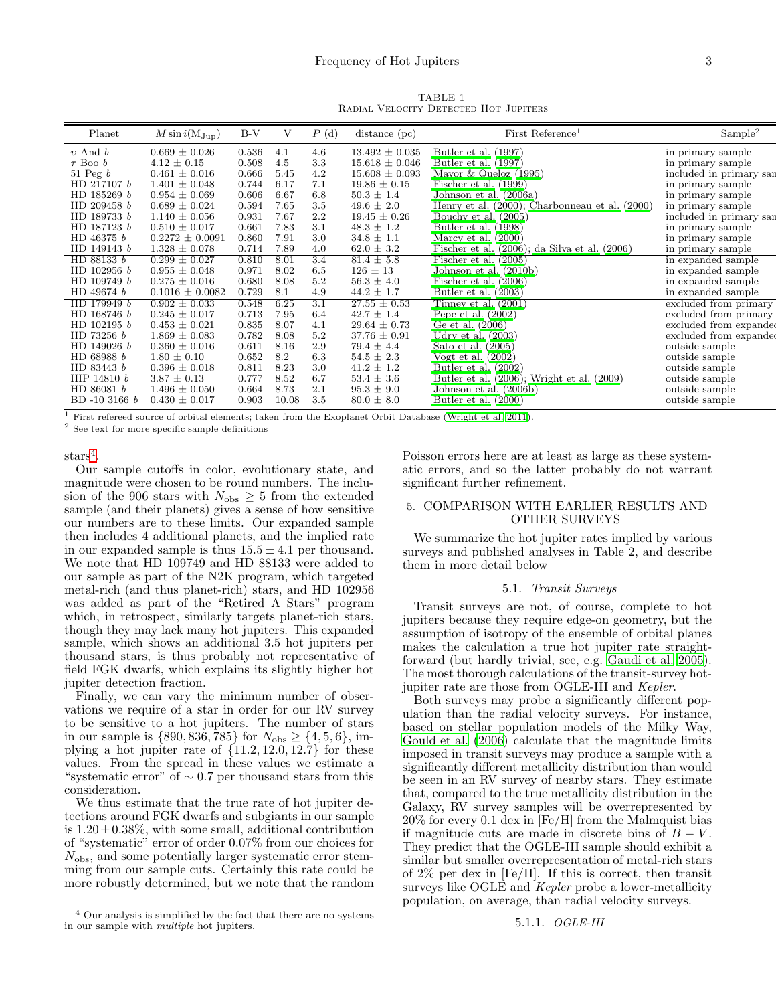TABLE 1 Radial Velocity Detected Hot Jupiters

| Planet        | $M \sin i(\rm M_{Jup})$ | $B-V$ | V     | P(d) | $distance$ (pc)    | First Reference <sup>1</sup>                       | Sample <sup>2</sup>     |
|---------------|-------------------------|-------|-------|------|--------------------|----------------------------------------------------|-------------------------|
| $v$ And $b$   | $0.669 \pm 0.026$       | 0.536 | 4.1   | 4.6  | $13.492 \pm 0.035$ | Butler et al. (1997)                               | in primary sample       |
| $\tau$ Boo b  | $4.12 \pm 0.15$         | 0.508 | 4.5   | 3.3  | $15.618 \pm 0.046$ | Butler et al. (1997)                               | in primary sample       |
| 51 Peg $b$    | $0.461 \pm 0.016$       | 0.666 | 5.45  | 4.2  | $15.608 \pm 0.093$ | Mayor & Queloz $(1995)$                            | included in primary san |
| HD 217107 b   | $1.401 \pm 0.048$       | 0.744 | 6.17  | 7.1  | $19.86 \pm 0.15$   | Fischer et al. (1999)                              | in primary sample       |
| HD 185269 b   | $0.954 \pm 0.069$       | 0.606 | 6.67  | 6.8  | $50.3 \pm 1.4$     | Johnson et al. (2006a)                             | in primary sample       |
| HD 209458 b   | $0.689 \pm 0.024$       | 0.594 | 7.65  | 3.5  | $49.6 \pm 2.0$     | Henry et al. (2000); Charbonneau et al. (2000)     | in primary sample       |
| HD 189733 b   | $1.140 \pm 0.056$       | 0.931 | 7.67  | 2.2  | $19.45 \pm 0.26$   | Bouchy et al. $(2005)$                             | included in primary sar |
| HD 187123 b   | $0.510 \pm 0.017$       | 0.661 | 7.83  | 3.1  | $48.3 \pm 1.2$     | Butler et al. (1998)                               | in primary sample       |
| HD 46375 b    | $0.2272 \pm 0.0091$     | 0.860 | 7.91  | 3.0  | $34.8 \pm 1.1$     | Marcy et al. $(2000)$                              | in primary sample       |
| HD 149143 b   | $1.328 \pm 0.078$       | 0.714 | 7.89  | 4.0  | $62.0 \pm 3.2$     | Fischer et al. $(2006)$ ; da Silva et al. $(2006)$ | in primary sample       |
| HD 88133 b    | $0.299 \pm 0.027$       | 0.810 | 8.01  | 3.4  | $81.4 \pm 5.8$     | Fischer et al. $(2005)$                            | in expanded sample      |
| HD 102956 b   | $0.955 \pm 0.048$       | 0.971 | 8.02  | 6.5  | $126 \pm 13$       | Johnson et al. (2010b)                             | in expanded sample      |
| HD 109749 b   | $0.275 \pm 0.016$       | 0.680 | 8.08  | 5.2  | $56.3 \pm 4.0$     | Fischer et al. $(2006)$                            | in expanded sample      |
| HD 49674 b    | $0.1016 \pm 0.0082$     | 0.729 | 8.1   | 4.9  | $44.2 \pm 1.7$     | Butler et al. $(2003)$                             | in expanded sample      |
| HD 179949 b   | $0.902 \pm 0.033$       | 0.548 | 6.25  | 3.1  | $27.55 \pm 0.53$   | Tinney et al. $(2001)$                             | excluded from primary   |
| HD 168746 b   | $0.245 \pm 0.017$       | 0.713 | 7.95  | 6.4  | $42.7 \pm 1.4$     | Pepe et al. $(2002)$                               | excluded from primary   |
| HD 102195 b   | $0.453 \pm 0.021$       | 0.835 | 8.07  | 4.1  | $29.64 \pm 0.73$   | Ge et al. (2006)                                   | excluded from expanded  |
| HD 73256 b    | $1.869 \pm 0.083$       | 0.782 | 8.08  | 5.2  | $37.76 \pm 0.91$   | Udry et al. $(2003)$                               | excluded from expanded  |
| HD 149026 b   | $0.360 \pm 0.016$       | 0.611 | 8.16  | 2.9  | $79.4 \pm 4.4$     | Sato et al. $(2005)$                               | outside sample          |
| HD 68988 b    | $1.80 \pm 0.10$         | 0.652 | 8.2   | 6.3  | $54.5 \pm 2.3$     | Vogt et al. $(2002)$                               | outside sample          |
| HD 83443 b    | $0.396 \pm 0.018$       | 0.811 | 8.23  | 3.0  | $41.2 \pm 1.2$     | Butler et al. $(2002)$                             | outside sample          |
| HIP 14810 b   | $3.87 \pm 0.13$         | 0.777 | 8.52  | 6.7  | $53.4 \pm 3.6$     | Butler et al. $(2006)$ ; Wright et al. $(2009)$    | outside sample          |
| HD 86081 b    | $1.496 \pm 0.050$       | 0.664 | 8.73  | 2.1  | $95.3 \pm 9.0$     | Johnson et al. (2006b)                             | outside sample          |
| BD -10 3166 b | $0.430 \pm 0.017$       | 0.903 | 10.08 | 3.5  | $80.0 \pm 8.0$     | Butler et al. $(2000)$                             | outside sample          |

<sup>1</sup> First refereed source of orbital elements; taken from the Exoplanet Orbit Database [\(Wright et al. 2011](#page-4-1)).

<sup>2</sup> See text for more specific sample definitions

 $\text{stars}^4$  $\text{stars}^4$ .

Our sample cutoffs in color, evolutionary state, and magnitude were chosen to be round numbers. The inclusion of the 906 stars with  $N_{\text{obs}} \geq 5$  from the extended sample (and their planets) gives a sense of how sensitive our numbers are to these limits. Our expanded sample then includes 4 additional planets, and the implied rate in our expanded sample is thus  $15.5 \pm 4.1$  per thousand. We note that HD 109749 and HD 88133 were added to our sample as part of the N2K program, which targeted metal-rich (and thus planet-rich) stars, and HD 102956 was added as part of the "Retired A Stars" program which, in retrospect, similarly targets planet-rich stars, though they may lack many hot jupiters. This expanded sample, which shows an additional 3.5 hot jupiters per thousand stars, is thus probably not representative of field FGK dwarfs, which explains its slightly higher hot jupiter detection fraction.

Finally, we can vary the minimum number of observations we require of a star in order for our RV survey to be sensitive to a hot jupiters. The number of stars in our sample is  $\{890, 836, 785\}$  for  $N_{\text{obs}} \geq \{4, 5, 6\}$ , implying a hot jupiter rate of  $\{11.2, 12.0, 12.7\}$  for these values. From the spread in these values we estimate a "systematic error" of  $\sim 0.7$  per thousand stars from this consideration.

We thus estimate that the true rate of hot jupiter detections around FGK dwarfs and subgiants in our sample is  $1.20 \pm 0.38\%$ , with some small, additional contribution of "systematic" error of order 0.07% from our choices for  $N_{\text{obs}}$ , and some potentially larger systematic error stemming from our sample cuts. Certainly this rate could be more robustly determined, but we note that the random

Poisson errors here are at least as large as these systematic errors, and so the latter probably do not warrant significant further refinement.

# <span id="page-2-0"></span>5. COMPARISON WITH EARLIER RESULTS AND OTHER SURVEYS

We summarize the hot jupiter rates implied by various surveys and published analyses in Table 2, and describe them in more detail below

## 5.1. Transit Surveys

Transit surveys are not, of course, complete to hot jupiters because they require edge-on geometry, but the assumption of isotropy of the ensemble of orbital planes makes the calculation a true hot jupiter rate straightforward (but hardly trivial, see, e.g. [Gaudi et al. 2005](#page-4-44)). The most thorough calculations of the transit-survey hotjupiter rate are those from OGLE-III and Kepler.

Both surveys may probe a significantly different population than the radial velocity surveys. For instance, based on stellar population models of the Milky Way, [Gould et al. \(2006\)](#page-4-17) calculate that the magnitude limits imposed in transit surveys may produce a sample with a significantly different metallicity distribution than would be seen in an RV survey of nearby stars. They estimate that, compared to the true metallicity distribution in the Galaxy, RV survey samples will be overrepresented by 20% for every 0.1 dex in [Fe/H] from the Malmquist bias if magnitude cuts are made in discrete bins of  $B - V$ . They predict that the OGLE-III sample should exhibit a similar but smaller overrepresentation of metal-rich stars of 2% per dex in [Fe/H]. If this is correct, then transit surveys like OGLE and Kepler probe a lower-metallicity population, on average, than radial velocity surveys.

## 5.1.1. OGLE-III

<span id="page-2-1"></span><sup>4</sup> Our analysis is simplified by the fact that there are no systems in our sample with multiple hot jupiters.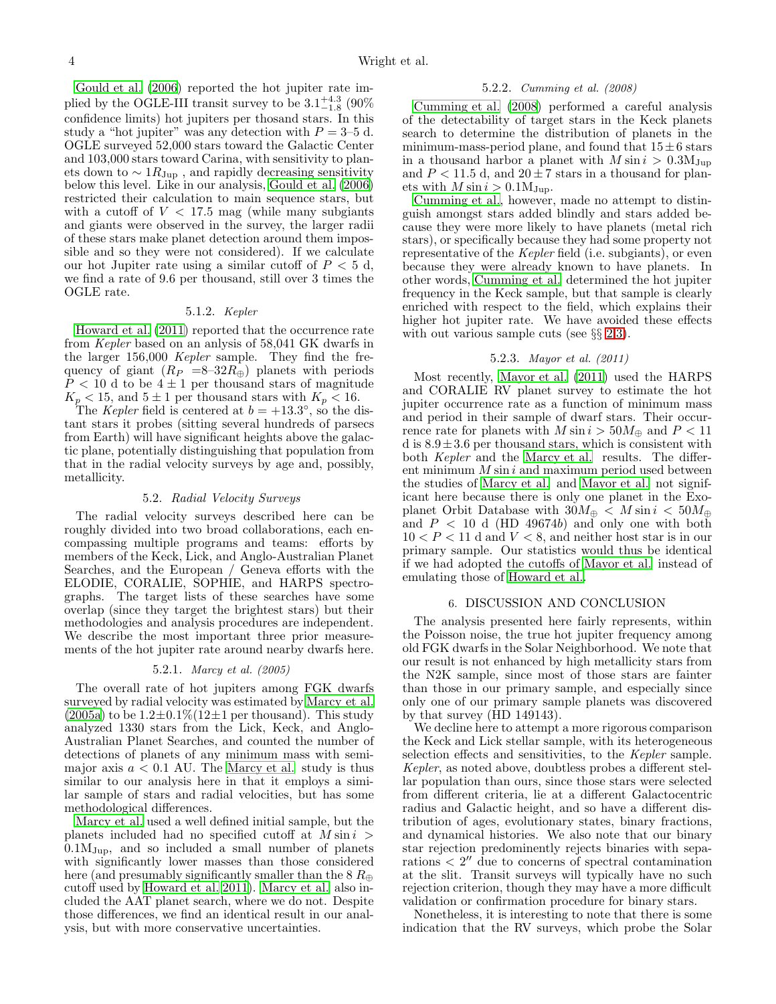[Gould et al. \(2006\)](#page-4-17) reported the hot jupiter rate implied by the OGLE-III transit survey to be  $3.1^{+4.3}_{-1.8}$  (90%) confidence limits) hot jupiters per thosand stars. In this study a "hot jupiter" was any detection with  $P = 3-5$  d. OGLE surveyed 52,000 stars toward the Galactic Center and 103,000 stars toward Carina, with sensitivity to planets down to  $\sim 1R_{\text{Jup}}$ , and rapidly decreasing sensitivity below this level. Like in our analysis, [Gould et al. \(2006](#page-4-17)) restricted their calculation to main sequence stars, but with a cutoff of  $V < 17.5$  mag (while many subgiants and giants were observed in the survey, the larger radii of these stars make planet detection around them impossible and so they were not considered). If we calculate our hot Jupiter rate using a similar cutoff of  $P < 5$  d, we find a rate of 9.6 per thousand, still over 3 times the OGLE rate.

# 5.1.2. Kepler

[Howard et al. \(2011](#page-4-6)) reported that the occurrence rate from Kepler based on an anlysis of 58,041 GK dwarfs in the larger 156,000 Kepler sample. They find the frequency of giant  $(R_P = 8-32R_\oplus)$  planets with periods  $P < 10$  d to be  $4 \pm 1$  per thousand stars of magnitude  $K_p < 15$ , and  $5 \pm 1$  per thousand stars with  $K_p < 16$ .

The *Kepler* field is centered at  $b = +13.3^{\circ}$ , so the distant stars it probes (sitting several hundreds of parsecs from Earth) will have significant heights above the galactic plane, potentially distinguishing that population from that in the radial velocity surveys by age and, possibly, metallicity.

#### 5.2. Radial Velocity Surveys

The radial velocity surveys described here can be roughly divided into two broad collaborations, each encompassing multiple programs and teams: efforts by members of the Keck, Lick, and Anglo-Australian Planet Searches, and the European / Geneva efforts with the ELODIE, CORALIE, SOPHIE, and HARPS spectrographs. The target lists of these searches have some overlap (since they target the brightest stars) but their methodologies and analysis procedures are independent. We describe the most important three prior measurements of the hot jupiter rate around nearby dwarfs here.

#### 5.2.1. Marcy et al. (2005)

The overall rate of hot jupiters among FGK dwarfs surveyed by radial velocity was estimated by [Marcy et al.](#page-4-7)  $(2005a)$  to be  $1.2\pm0.1\%$  (12 $\pm1$  per thousand). This study analyzed 1330 stars from the Lick, Keck, and Anglo-Australian Planet Searches, and counted the number of detections of planets of any minimum mass with semimajor axis  $a < 0.1$  AU. The [Marcy et al.](#page-4-7) study is thus similar to our analysis here in that it employs a similar sample of stars and radial velocities, but has some methodological differences.

[Marcy et al.](#page-4-7) used a well defined initial sample, but the planets included had no specified cutoff at  $M \sin i >$  $0.1M_{Jup}$ , and so included a small number of planets with significantly lower masses than those considered here (and presumably significantly smaller than the  $8 R_{\oplus}$ cutoff used by [Howard et al. 2011\)](#page-4-6). [Marcy et al.](#page-4-7) also included the AAT planet search, where we do not. Despite those differences, we find an identical result in our analysis, but with more conservative uncertainties.

#### 5.2.2. Cumming et al. (2008)

[Cumming et al. \(2008\)](#page-4-20) performed a careful analysis of the detectability of target stars in the Keck planets search to determine the distribution of planets in the minimum-mass-period plane, and found that  $15 \pm 6$  stars in a thousand harbor a planet with  $M \sin i > 0.3 M_{Jup}$ and  $P < 11.5$  d, and  $20 \pm 7$  stars in a thousand for planets with  $M \sin i > 0.1 M_{Jup}$ .

[Cumming et al.,](#page-4-20) however, made no attempt to distinguish amongst stars added blindly and stars added because they were more likely to have planets (metal rich stars), or specifically because they had some property not representative of the Kepler field (i.e. subgiants), or even because they were already known to have planets. In other words, [Cumming et al.](#page-4-20) determined the hot jupiter frequency in the Keck sample, but that sample is clearly enriched with respect to the field, which explains their higher hot jupiter rate. We have avoided these effects with out various sample cuts (see  $\S\S 2,3$  $\S\S 2,3$  $\S\S 2,3$ ).

# 5.2.3. Mayor et al. (2011)

Most recently, [Mayor et al. \(2011](#page-4-45)) used the HARPS and CORALIE RV planet survey to estimate the hot jupiter occurrence rate as a function of minimum mass and period in their sample of dwarf stars. Their occurrence rate for planets with  $M \sin i > 50 M_{\oplus}$  and  $P < 11$ d is  $8.9 \pm 3.6$  per thousand stars, which is consistent with both *Kepler* and the [Marcy et al.](#page-4-7) results. The different minimum  $M \sin i$  and maximum period used between the studies of [Marcy et al.](#page-4-7) and [Mayor et al.](#page-4-45) not significant here because there is only one planet in the Exoplanet Orbit Database with  $30M_{\oplus} < M \sin i < 50M_{\oplus}$ and  $P < 10$  d (HD 49674b) and only one with both  $10 < P < 11$  d and  $V < 8$ , and neither host star is in our primary sample. Our statistics would thus be identical if we had adopted the cutoffs of [Mayor et al.](#page-4-45) instead of emulating those of [Howard et al.](#page-4-6).

## 6. DISCUSSION AND CONCLUSION

The analysis presented here fairly represents, within the Poisson noise, the true hot jupiter frequency among old FGK dwarfs in the Solar Neighborhood. We note that our result is not enhanced by high metallicity stars from the N2K sample, since most of those stars are fainter than those in our primary sample, and especially since only one of our primary sample planets was discovered by that survey (HD 149143).

We decline here to attempt a more rigorous comparison the Keck and Lick stellar sample, with its heterogeneous selection effects and sensitivities, to the Kepler sample. Kepler, as noted above, doubtless probes a different stellar population than ours, since those stars were selected from different criteria, lie at a different Galactocentric radius and Galactic height, and so have a different distribution of ages, evolutionary states, binary fractions, and dynamical histories. We also note that our binary star rejection predominently rejects binaries with separations < 2 ′′ due to concerns of spectral contamination at the slit. Transit surveys will typically have no such rejection criterion, though they may have a more difficult validation or confirmation procedure for binary stars.

Nonetheless, it is interesting to note that there is some indication that the RV surveys, which probe the Solar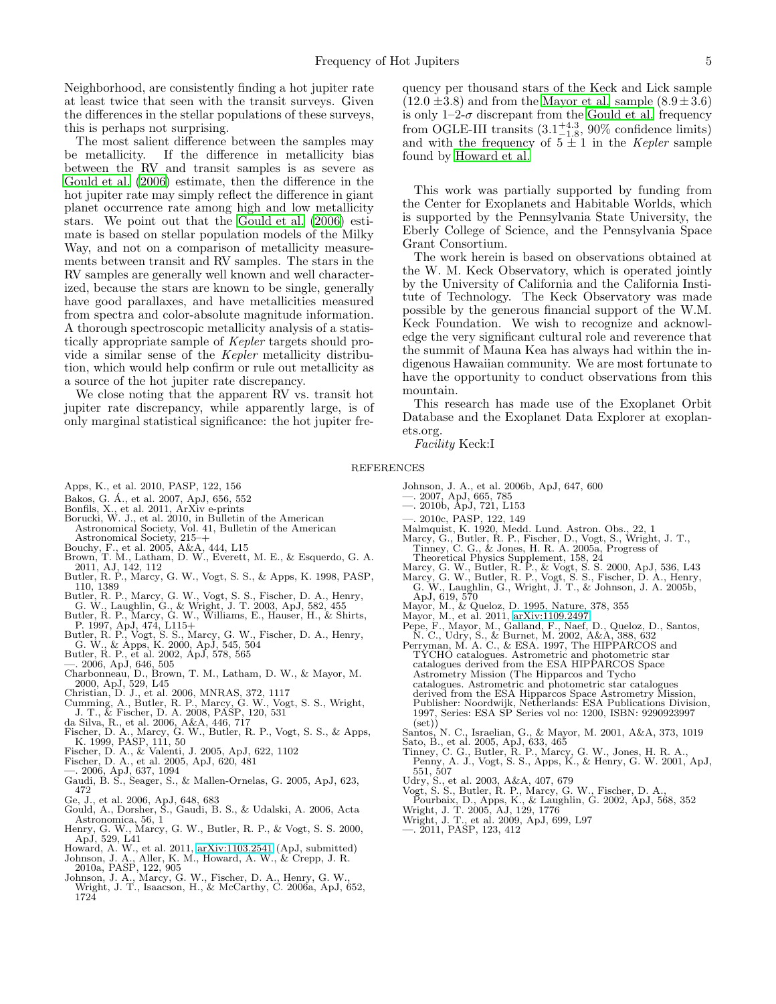Neighborhood, are consistently finding a hot jupiter rate at least twice that seen with the transit surveys. Given the differences in the stellar populations of these surveys, this is perhaps not surprising.

The most salient difference between the samples may<br>be metallicity. If the difference in metallicity bias If the difference in metallicity bias between the RV and transit samples is as severe as [Gould et al. \(2006\)](#page-4-17) estimate, then the difference in the hot jupiter rate may simply reflect the difference in giant planet occurrence rate among high and low metallicity stars. We point out that the [Gould et al. \(2006\)](#page-4-17) estimate is based on stellar population models of the Milky Way, and not on a comparison of metallicity measurements between transit and RV samples. The stars in the RV samples are generally well known and well characterized, because the stars are known to be single, generally have good parallaxes, and have metallicities measured from spectra and color-absolute magnitude information. A thorough spectroscopic metallicity analysis of a statistically appropriate sample of Kepler targets should provide a similar sense of the Kepler metallicity distribution, which would help confirm or rule out metallicity as a source of the hot jupiter rate discrepancy.

We close noting that the apparent RV vs. transit hot jupiter rate discrepancy, while apparently large, is of only marginal statistical significance: the hot jupiter fre-

quency per thousand stars of the Keck and Lick sample  $(12.0 \pm 3.8)$  and from the [Mayor et al.](#page-4-45) sample  $(8.9 \pm 3.6)$ is only  $1-2-\sigma$  discrepant from the [Gould et al.](#page-4-17) frequency from OGLE-III transits  $(3.1^{+4.3}_{-1.8}, 90\%$  confidence limits) and with the frequency of  $5 \pm 1$  in the Kepler sample found by [Howard et al.](#page-4-6)

This work was partially supported by funding from the Center for Exoplanets and Habitable Worlds, which is supported by the Pennsylvania State University, the Eberly College of Science, and the Pennsylvania Space Grant Consortium.

The work herein is based on observations obtained at the W. M. Keck Observatory, which is operated jointly by the University of California and the California Institute of Technology. The Keck Observatory was made possible by the generous financial support of the W.M. Keck Foundation. We wish to recognize and acknowledge the very significant cultural role and reverence that the summit of Mauna Kea has always had within the indigenous Hawaiian community. We are most fortunate to have the opportunity to conduct observations from this mountain.

This research has made use of the Exoplanet Orbit Database and the Exoplanet Data Explorer at exoplanets.org.

Facility Keck:I

### REFERENCES

- <span id="page-4-9"></span>Apps, K., et al. 2010, PASP, 122, 156
- <span id="page-4-12"></span>Bakos, G. A., et al. 2007, ApJ, 656, 552 ´
- 
- <span id="page-4-18"></span><span id="page-4-5"></span>Bonfils, X., et al. 2011, ArXiv e-prints Borucki, W. J., et al. 2010, in Bulletin of the American Astronomical Society, Vol. 41, Bulletin of the American Astronomical Society, 215–+
- 
- <span id="page-4-21"></span><span id="page-4-13"></span>
- Bouchy, F., et al. 2005, A&A, 444, L15 Brown, T. M., Latham, D. W., Everett, M. E., & Esquerdo, G. A. 2011, AJ, 142, 112 Butler, R. P., Marcy, G. W., Vogt, S. S., & Apps, K. 1998, PASP, 110, 1389
- <span id="page-4-27"></span>
- 
- <span id="page-4-32"></span>Butler, R. P., Marcy, G. W., Vogt, S. S., Fischer, D. A., Henry, G. W., Laughlin, G., & Wright, J. T. 2003, ApJ, 582, 455<br>Butler, R. P., Marcy, G. W., Williams, E., Hauser, H., & Shirts, P. P. 997, ApJ, 474, L115+<br>B. P. 19
- <span id="page-4-43"></span><span id="page-4-22"></span>
- <span id="page-4-39"></span>
- <span id="page-4-40"></span><span id="page-4-26"></span>
- G. W., & Apps, K. 2000, ApJ, 545, 504 Butler, R. P., et al. 2002, ApJ, 578, 565 —. 2006, ApJ, 646, 505 Charbonneau, D., Brown, T. M., Latham, D. W., & Mayor, M. 2000, ApJ, 529, L45
- <span id="page-4-20"></span><span id="page-4-15"></span>
- Christian, D. J., et al. 2006, MNRAS, 372, 1117<br>Cumming, A., Butler, R. P., Marcy, G. W., Vogt, S. S., Wright,<br>J. T., & Fischer, D. A. 2008, PASP, 120, 531<br>da Silva, R., et al. 2006, A&A, 446, 717<br>Fischer, D. A., Marcy, G.
- <span id="page-4-30"></span>
- <span id="page-4-23"></span>K. 1999, PASP, 111, 50 Fischer, D. A., & Valenti, J. 2005, ApJ, 622, 1102
- <span id="page-4-3"></span>
- <span id="page-4-11"></span>
- <span id="page-4-44"></span><span id="page-4-29"></span>
- Fischer, D. A., et al. 2005, ApJ, 620, 481 —. 2006, ApJ, 637, 1094 Gaudi, B. S., Seager, S., & Mallen-Ornelas, G. 2005, ApJ, 623, 472
- <span id="page-4-35"></span><span id="page-4-17"></span>
- Ge, J., et al. 2006, ApJ, 648, 683 Gould, A., Dorsher, S., Gaudi, B. S., & Udalski, A. 2006, Acta Astronomica, 56, 1
- <span id="page-4-25"></span>Henry, G. W., Marcy, G. W., Butler, R. P., & Vogt, S. S. 2000, ApJ, 529, L41
- <span id="page-4-4"></span>
- <span id="page-4-6"></span>Howard, A. W., et al. 2011, [arXiv:1103.2541](http://arxiv.org/abs/1103.2541) (ApJ, submitted)<br>Johnson, J. A., Aller, K. M., Howard, A. W., & Crepp, J. R.<br>2010a, PASP, 122, 905<br>Johnson, J. A., Marcy, G. W., Fischer, D. A., Henry, G. W.,<br>Wright, J. T., Isaa
- <span id="page-4-24"></span>1724
- <span id="page-4-42"></span><span id="page-4-10"></span>Johnson, J. A., et al. 2006b, ApJ, 647, 600 —. 2007, ApJ, 665, 785 —. 2010b, ApJ, 721, L153
- <span id="page-4-31"></span>
- —. 2010c, PASP, 122, 149
- <span id="page-4-16"></span><span id="page-4-8"></span>
- <span id="page-4-7"></span>Malmquist, K. 1920, Medd. Lund. Astron. Obs., 22, 1<br>Marcy, G., Butler, R. P., Fischer, D., Vogt, S., Wright, J. T.,<br>Tinney, C. G., & Jones, H. R. A. 2005a, Progress of<br>Theoretical Physics Supplement, 158, 24<br>Marcy, G. W.,
- 
- <span id="page-4-46"></span><span id="page-4-28"></span>
- 
- <span id="page-4-0"></span>ApJ, 619, 570 Mayor, M., & Queloz, D. 1995, Nature, 378, 355 Mayor, M., et al. 2011, [arXiv:1109.2497](http://arxiv.org/abs/1109.2497)
- <span id="page-4-45"></span>
- <span id="page-4-34"></span>Pepe, F., Mayor, M., Galland, F., Naef, D., Queloz, D., Santos, N. C., Udry, S., & Burnet, M. 2002, A&A, 388, 632 Perryman, M. A. C., & ESA. 1997, The HIPPARCOS and TYCHO catalogues. Astrometric and photometric star
- <span id="page-4-14"></span>catalogues derived from the ESA HIPPARCOS Space Astrometry Mission (The Hipparcos and Tycho catalogues. Astrometric and photometric star catalogues derived from the ESA Hipparcos Space Astrometry Mission, Publisher: Noordwijk, Netherlands: ESA Publications Division, 1997, Series: ESA SP Series vol no: 1200, ISBN: 9290923997  $(set)$
- <span id="page-4-2"></span>Santos, N. C., Israelian, G., & Mayor, M. 2001, A&A, 373, 1019
- 
- <span id="page-4-37"></span><span id="page-4-33"></span>Sato, B., et al. 2005, ApJ, 633, 465 Tinney, C. G., Butler, R. P., Marcy, G. W., Jones, H. R. A., Penny, A. J., Vogt, S. S., Apps, K., & Henry, G. W. 2001, ApJ,
- <span id="page-4-38"></span><span id="page-4-36"></span>
- 
- 551, 507 Udry, S., et al. 2003, A&A, 407, 679 Vogt, S. S., Butler, R. P., Marcy, G. W., Fischer, D. A., Pourbaix, D., Apps, K., & Laughlin, G. 2002, ApJ, 568, 352 Wright, J. T. 2005, AJ, 129, 1776
- <span id="page-4-41"></span><span id="page-4-19"></span>Wright, J. T., et al. 2009, ApJ, 699, L97 —. 2011, PASP, 123, 412
- <span id="page-4-1"></span>